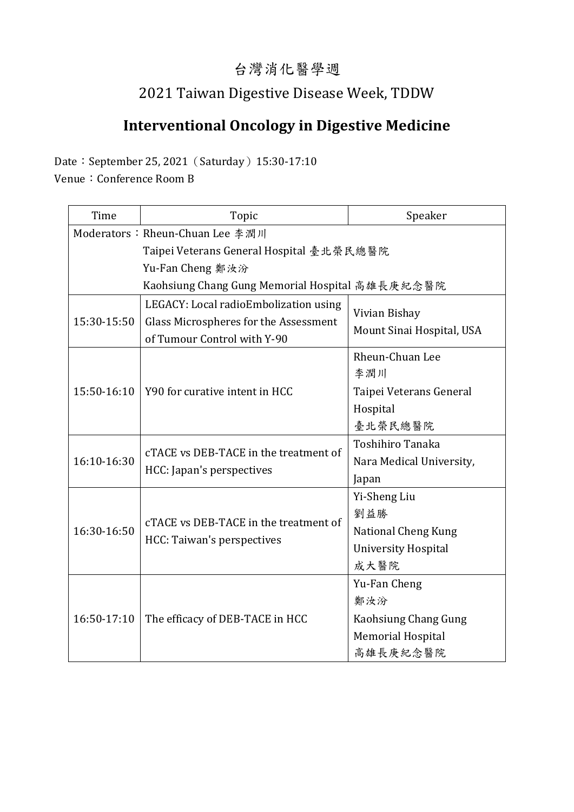### 台灣消化醫學週

## 2021 Taiwan Digestive Disease Week, TDDW

# **Interventional Oncology in Digestive Medicine**

Date: September 25, 2021 (Saturday) 15:30-17:10

Venue: Conference Room B

| Time                                            | Topic                                                               | Speaker                                    |  |
|-------------------------------------------------|---------------------------------------------------------------------|--------------------------------------------|--|
| Moderators: Rheun-Chuan Lee 李潤川                 |                                                                     |                                            |  |
| Taipei Veterans General Hospital 臺北榮民總醫院        |                                                                     |                                            |  |
| Yu-Fan Cheng 鄭汝汾                                |                                                                     |                                            |  |
| Kaohsiung Chang Gung Memorial Hospital 高雄長庚紀念醫院 |                                                                     |                                            |  |
| 15:30-15:50                                     | LEGACY: Local radioEmbolization using                               | Vivian Bishay<br>Mount Sinai Hospital, USA |  |
|                                                 | Glass Microspheres for the Assessment                               |                                            |  |
|                                                 | of Tumour Control with Y-90                                         |                                            |  |
| 15:50-16:10                                     | Y90 for curative intent in HCC                                      | Rheun-Chuan Lee                            |  |
|                                                 |                                                                     | 李潤川                                        |  |
|                                                 |                                                                     | Taipei Veterans General                    |  |
|                                                 |                                                                     | Hospital                                   |  |
|                                                 |                                                                     | 臺北榮民總醫院                                    |  |
| 16:10-16:30                                     | cTACE vs DEB-TACE in the treatment of<br>HCC: Japan's perspectives  | <b>Toshihiro Tanaka</b>                    |  |
|                                                 |                                                                     | Nara Medical University,                   |  |
|                                                 |                                                                     | Japan                                      |  |
| 16:30-16:50                                     | cTACE vs DEB-TACE in the treatment of<br>HCC: Taiwan's perspectives | Yi-Sheng Liu                               |  |
|                                                 |                                                                     | 劉益勝                                        |  |
|                                                 |                                                                     | National Cheng Kung                        |  |
|                                                 |                                                                     | <b>University Hospital</b>                 |  |
|                                                 |                                                                     | 成大醫院                                       |  |
| 16:50-17:10                                     | The efficacy of DEB-TACE in HCC                                     | Yu-Fan Cheng                               |  |
|                                                 |                                                                     | 鄭汝汾                                        |  |
|                                                 |                                                                     | Kaohsiung Chang Gung                       |  |
|                                                 |                                                                     | <b>Memorial Hospital</b>                   |  |
|                                                 |                                                                     | 高雄長庚紀念醫院                                   |  |